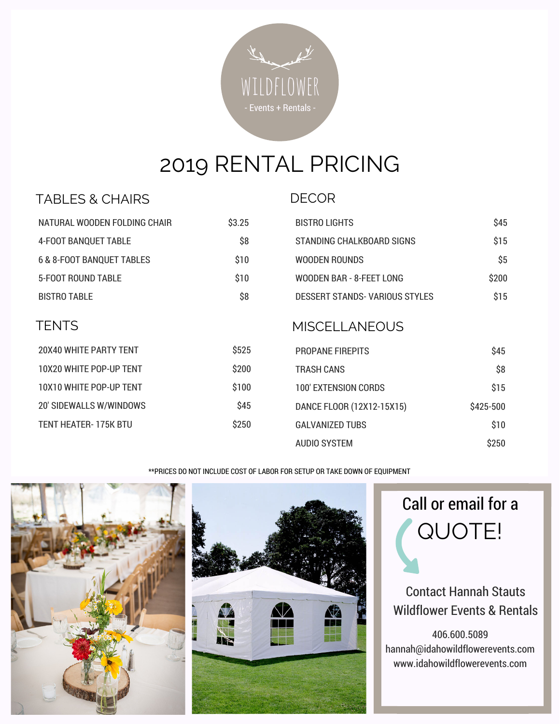

# 2019 RENTAL PRICING

#### TABLES & CHAIRS

| -- |
|----|
|----|

| NATURAL WOODEN FOLDING CHAIR         | \$3.25 | <b>BISTRO LIGHTS</b>                 | \$45      |
|--------------------------------------|--------|--------------------------------------|-----------|
| <b>4-FOOT BANQUET TABLE</b>          | \$8    | STANDING CHALKBOARD SIGNS            | \$15      |
| <b>6 &amp; 8-FOOT BANQUET TABLES</b> | \$10   | <b>WOODEN ROUNDS</b>                 | \$5       |
| <b>5-FOOT ROUND TABLE</b>            | \$10   | WOODEN BAR - 8-FEET LONG             | \$200     |
| <b>BISTRO TABLE</b>                  | \$8    | <b>DESSERT STANDS-VARIOUS STYLES</b> | \$15      |
| <b>TENTS</b>                         |        | <b>MISCELLANEOUS</b>                 |           |
| 20X40 WHITE PARTY TENT               | \$525  | <b>PROPANE FIREPITS</b>              | \$45      |
| 10X20 WHITE POP-UP TENT              | \$200  | <b>TRASH CANS</b>                    | \$8       |
| 10X10 WHITE POP-UP TENT              | \$100  | <b>100' EXTENSION CORDS</b>          | \$15      |
| 20' SIDEWALLS W/WINDOWS              | \$45   | DANCE FLOOR (12X12-15X15)            | \$425-500 |
| <b>TENT HEATER-175K BTU</b>          | \$250  | <b>GALVANIZED TUBS</b>               | \$10      |
|                                      |        | <b>AUDIO SYSTEM</b>                  | \$250     |

\*\*PRICES DO NOT INCLUDE COST OF LABOR FOR SETUP OR TAKE DOWN OF EQUIPMENT







#### Contact Hannah Stauts Wildflower Events & Rentals

406.600.5089 hannah@idahowildflowerevents.com www.idahowildflowerevents.com